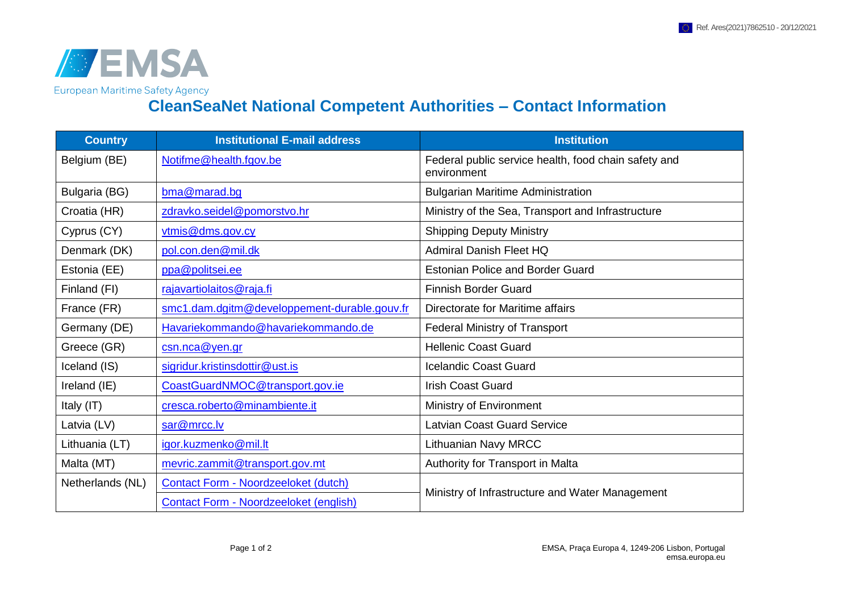

**CleanSeaNet National Competent Authorities – Contact Information**

| <b>Country</b>   | <b>Institutional E-mail address</b>           | <b>Institution</b>                                                  |
|------------------|-----------------------------------------------|---------------------------------------------------------------------|
| Belgium (BE)     | Notifme@health.fgov.be                        | Federal public service health, food chain safety and<br>environment |
| Bulgaria (BG)    | bma@marad.bg                                  | <b>Bulgarian Maritime Administration</b>                            |
| Croatia (HR)     | zdravko.seidel@pomorstvo.hr                   | Ministry of the Sea, Transport and Infrastructure                   |
| Cyprus (CY)      | vtmis@dms.gov.cy                              | <b>Shipping Deputy Ministry</b>                                     |
| Denmark (DK)     | pol.con.den@mil.dk                            | <b>Admiral Danish Fleet HQ</b>                                      |
| Estonia (EE)     | ppa@politsei.ee                               | <b>Estonian Police and Border Guard</b>                             |
| Finland (FI)     | rajavartiolaitos@raja.fi                      | <b>Finnish Border Guard</b>                                         |
| France (FR)      | smc1.dam.dgitm@developpement-durable.gouv.fr  | Directorate for Maritime affairs                                    |
| Germany (DE)     | Havariekommando@havariekommando.de            | <b>Federal Ministry of Transport</b>                                |
| Greece (GR)      | csn.nca@yen.gr                                | <b>Hellenic Coast Guard</b>                                         |
| Iceland (IS)     | sigridur.kristinsdottir@ust.is                | <b>Icelandic Coast Guard</b>                                        |
| Ireland (IE)     | CoastGuardNMOC@transport.gov.ie               | <b>Irish Coast Guard</b>                                            |
| Italy (IT)       | cresca.roberto@minambiente.it                 | Ministry of Environment                                             |
| Latvia (LV)      | sar@mrcc.lv                                   | <b>Latvian Coast Guard Service</b>                                  |
| Lithuania (LT)   | igor.kuzmenko@mil.lt                          | <b>Lithuanian Navy MRCC</b>                                         |
| Malta (MT)       | mevric.zammit@transport.gov.mt                | Authority for Transport in Malta                                    |
| Netherlands (NL) | <b>Contact Form - Noordzeeloket (dutch)</b>   | Ministry of Infrastructure and Water Management                     |
|                  | <b>Contact Form - Noordzeeloket (english)</b> |                                                                     |